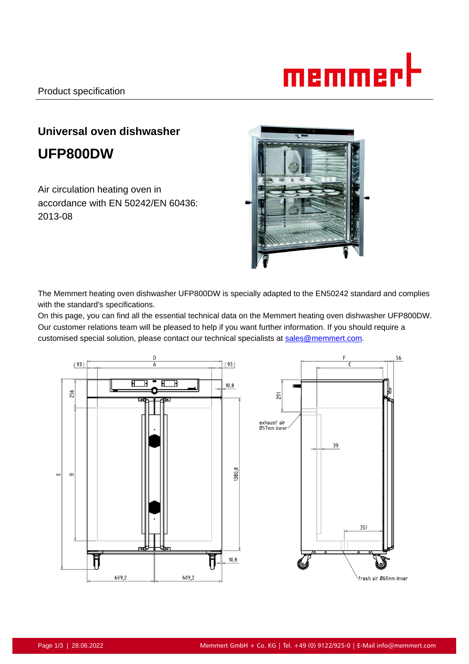

# **Universal oven dishwasher UFP800DW**

Air circulation heating oven in accordance with EN 50242/EN 60436: 2013-08



The Memmert heating oven dishwasher UFP800DW is specially adapted to the EN50242 standard and complies with the standard's specifications.

On this page, you can find all the essential technical data on the Memmert heating oven dishwasher UFP800DW. Our customer relations team will be pleased to help if you want further information. If you should require a customised special solution, please contact our technical specialists at sales@memmert.com.

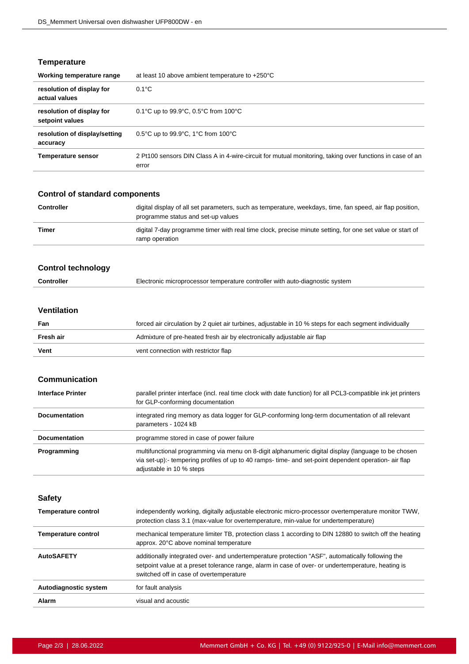# **Temperature**

| Working temperature range                    | at least 10 above ambient temperature to $+250^{\circ}$ C                                                         |
|----------------------------------------------|-------------------------------------------------------------------------------------------------------------------|
| resolution of display for<br>actual values   | $0.1^{\circ}$ C                                                                                                   |
| resolution of display for<br>setpoint values | 0.1°C up to 99.9°C, 0.5°C from 100°C                                                                              |
| resolution of display/setting<br>accuracy    | $0.5^{\circ}$ C up to 99.9 $^{\circ}$ C, 1 $^{\circ}$ C from 100 $^{\circ}$ C                                     |
| <b>Temperature sensor</b>                    | 2 Pt100 sensors DIN Class A in 4-wire-circuit for mutual monitoring, taking over functions in case of an<br>error |

# **Control of standard components**

| <b>Controller</b> | digital display of all set parameters, such as temperature, weekdays, time, fan speed, air flap position,<br>programme status and set-up values |
|-------------------|-------------------------------------------------------------------------------------------------------------------------------------------------|
| Timer             | digital 7-day programme timer with real time clock, precise minute setting, for one set value or start of<br>ramp operation                     |

# **Control technology**

## **Ventilation**

| Fan       | forced air circulation by 2 quiet air turbines, adjustable in 10 % steps for each segment individually |  |
|-----------|--------------------------------------------------------------------------------------------------------|--|
| Fresh air | Admixture of pre-heated fresh air by electronically adjustable air flap                                |  |
| Vent      | vent connection with restrictor flap                                                                   |  |

# **Communication**

| <b>Interface Printer</b> | parallel printer interface (incl. real time clock with date function) for all PCL3-compatible ink jet printers<br>for GLP-conforming documentation                                                                                       |
|--------------------------|------------------------------------------------------------------------------------------------------------------------------------------------------------------------------------------------------------------------------------------|
| <b>Documentation</b>     | integrated ring memory as data logger for GLP-conforming long-term documentation of all relevant<br>parameters - 1024 kB                                                                                                                 |
| <b>Documentation</b>     | programme stored in case of power failure                                                                                                                                                                                                |
| Programming              | multifunctional programming via menu on 8-digit alphanumeric digital display (language to be chosen<br>via set-up):- tempering profiles of up to 40 ramps- time- and set-point dependent operation- air flap<br>adjustable in 10 % steps |

**Safety**

| <b>Temperature control</b> | independently working, digitally adjustable electronic micro-processor overtemperature monitor TWW,<br>protection class 3.1 (max-value for overtemperature, min-value for undertemperature)                                                       |
|----------------------------|---------------------------------------------------------------------------------------------------------------------------------------------------------------------------------------------------------------------------------------------------|
| Temperature control        | mechanical temperature limiter TB, protection class 1 according to DIN 12880 to switch off the heating<br>approx. 20°C above nominal temperature                                                                                                  |
| <b>AutoSAFETY</b>          | additionally integrated over- and undertemperature protection "ASF", automatically following the<br>setpoint value at a preset tolerance range, alarm in case of over- or undertemperature, heating is<br>switched off in case of overtemperature |
| Autodiagnostic system      | for fault analysis                                                                                                                                                                                                                                |
| Alarm                      | visual and acoustic                                                                                                                                                                                                                               |